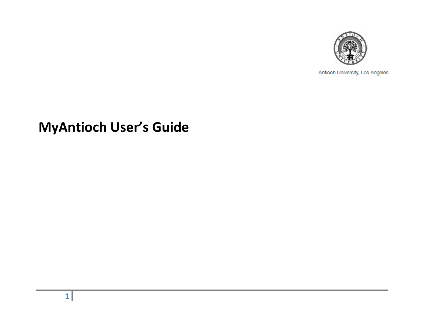

Antioch University, Los Angeles

# **MyAntioch User's Guide**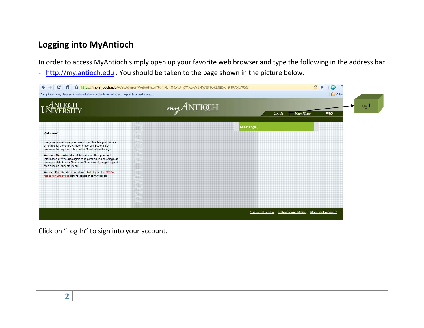#### **Logging into MyAntioch**

In order to access MyAntioch simply open up your favorite web browser and type the following in the address bar - [http://my.antioch.edu](http://my.antioch.edu/). You should be taken to the page shown in the picture below.



Click on "Log In" to sign into your account.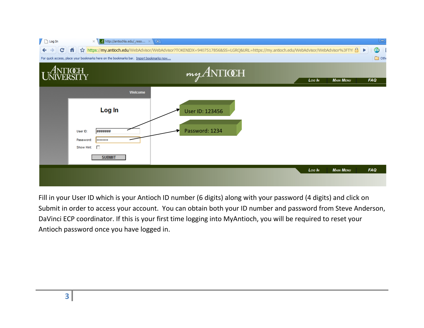

Fill in your User ID which is your Antioch ID number (6 digits) along with your password (4 digits) and click on Submit in order to access your account. You can obtain both your ID number and password from Steve Anderson, DaVinci ECP coordinator. If this is your first time logging into MyAntioch, you will be required to reset your Antioch password once you have logged in.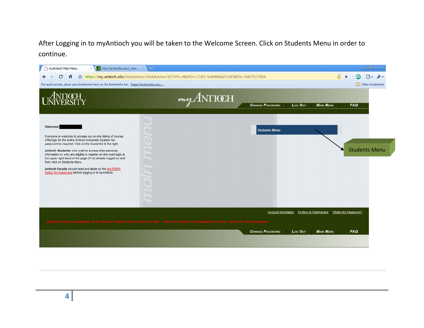After Logging in to myAntioch you will be taken to the Welcome Screen. Click on Students Menu in order to continue.

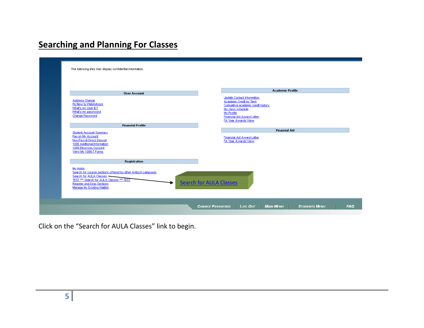## **Searching and Planning For Classes**

| <b>User Account</b>                                                                                                                                                                                                  | <b>Academic Profile</b>                                                                                                                                                                    |
|----------------------------------------------------------------------------------------------------------------------------------------------------------------------------------------------------------------------|--------------------------------------------------------------------------------------------------------------------------------------------------------------------------------------------|
| <b>Address Change</b><br>I'm New to WebAdvisor<br>What's my User ID?<br>What's my password<br>Change Password                                                                                                        | <b>Update Contact Information</b><br>Academic Credit by Term<br>Cumulative academic credit history<br>My class schedule<br>My Profile<br>Financial Aid Award Letter<br>FA Year Awards View |
| <b>Financial Profile</b>                                                                                                                                                                                             | <b>Financial Aid</b>                                                                                                                                                                       |
| <b>Student Account Summary</b><br>Pay on My Account<br>Non-Payroll Direct Deposit<br>1098 Additional Information<br>1098 Electronic Consent<br>View My 1098-T Forms                                                  | Financial Aid Award Letter<br>FA Year Awards View                                                                                                                                          |
| Registration                                                                                                                                                                                                         |                                                                                                                                                                                            |
| My Holds<br>Search for course sections offered by other Antioch campuses<br>Search for AULA Classes<br>TEST *** Search for AULA Classes *** TEST<br><b>Register and Drop Sections</b><br>Manage My Existing Waitlist | <b>Search for AULA Classes</b>                                                                                                                                                             |

Click on the "Search for AULA Classes" link to begin.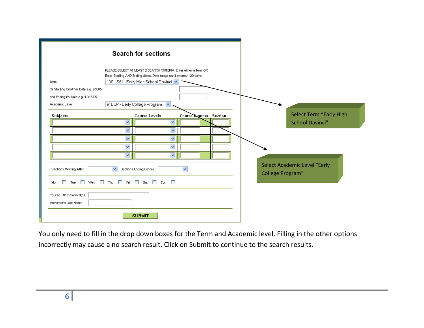|                                                   | <b>Search for sections</b>                                                                                                                                                      |                       |
|---------------------------------------------------|---------------------------------------------------------------------------------------------------------------------------------------------------------------------------------|-----------------------|
| Term                                              | PLEASE SELECT AT LEAST 2 SEARCH CRITERIA. Enter either a Term OR<br>Enter Starting AND Ending dates. Date range can't exceed 120 days.<br>13SUS61 - Early High School Davinci V |                       |
| Or Starting On/After Date e.g. 9/1/05             |                                                                                                                                                                                 |                       |
| and Ending By Date e.g. 12/15/05                  |                                                                                                                                                                                 |                       |
| Academic Level                                    | 61ECP - Early College Program<br>$\checkmark$                                                                                                                                   |                       |
| Subjects                                          | Course Levels                                                                                                                                                                   | Course Number Section |
|                                                   | ×<br>v                                                                                                                                                                          |                       |
|                                                   | ×<br>v                                                                                                                                                                          |                       |
|                                                   | ×<br>×                                                                                                                                                                          |                       |
|                                                   | $\checkmark$<br>$\checkmark$                                                                                                                                                    |                       |
|                                                   | v<br>$\checkmark$                                                                                                                                                               |                       |
| Sections Meeting After                            | $\overline{\mathbf{v}}$<br>Sections Ending Before                                                                                                                               | $\checkmark$          |
| П<br>Tue<br>$\Box$<br>Wed                         | Fri Sat Sun D<br>$\Box$ Thu                                                                                                                                                     |                       |
| Course Title Keyword(s)<br>Instructor's Last Name |                                                                                                                                                                                 |                       |
|                                                   | <b>SUBMIT</b>                                                                                                                                                                   |                       |

You only need to fill in the drop down boxes for the Term and Academic level. Filling in the other options incorrectly may cause a no search result. Click on Submit to continue to the search results.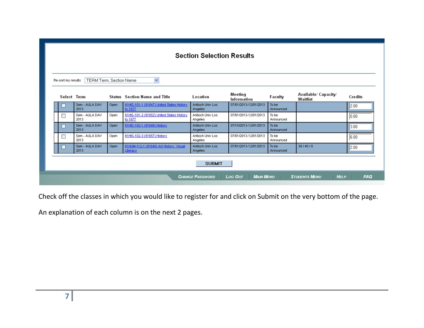|        | TERM Term, Section Name<br>$\checkmark$<br>Re-sort my results |      |                                                      |                                    |                        |                    |                                  |                   |  |  |
|--------|---------------------------------------------------------------|------|------------------------------------------------------|------------------------------------|------------------------|--------------------|----------------------------------|-------------------|--|--|
| Select | Term                                                          |      | <b>Status</b> Section Name and Title                 | Location                           | Meeting<br>Information | Faculty            | Available/ Capacity/<br>Waitlist | Credits           |  |  |
| ш      | Sem - AULA DAV<br>2013                                        | Open | 61HIS-101-1 (91647) United States History<br>to 1877 | Antioch Univ Los<br>Angeles        | 07/01/2013-12/01/2013  | To be<br>Announced |                                  | 2.00              |  |  |
| □      | Sem - AULA DAV<br>2013                                        | Open | 61HIS-101-2 (91652) United States History<br>to 1877 | Antioch Univ Los<br>Angeles        | 07/01/2013-12/01/2013  | To be<br>Announced |                                  | 0.00              |  |  |
| ш      | Sem - AULA DAV<br>2013                                        | Open | 61HIS-102-1 (91648) History                          | Antioch Univ Los<br>Angeles        | 07/15/2013-12/01/2013  | To be<br>Announced |                                  | 3.00 <sub>1</sub> |  |  |
| П      | Sem - AULA DAV<br>2013                                        | Open | 61HIS-102-3 (91657) History                          | Antioch Univ Los<br>Angeles        | 07/01/2013-12/01/2013  | To be<br>Announced |                                  | 6.00              |  |  |
| П      | Sem - AULA DAV<br>2013                                        | Open | 61HUM-112-1 (91649) Art History: Visual<br>Literacy  | Antioch Univ Los<br><b>Angeles</b> | 07/01/2013-12/01/2013  | To be<br>Announced | 39/40/0                          | 2.00              |  |  |

Check off the classes in which you would like to register for and click on Submit on the very bottom of the page.

An explanation of each column is on the next 2 pages.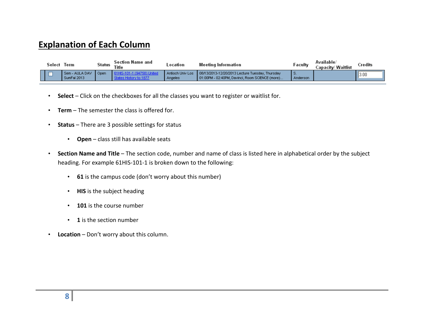#### **Explanation of Each Column**

| Select | lerm                          | Status | Section Name and<br>Title | ocation                            | Meeting Information                                                                                  | ⊩aculty       | Available/<br>Capacitv⁄ Waitlist | Credits |
|--------|-------------------------------|--------|---------------------------|------------------------------------|------------------------------------------------------------------------------------------------------|---------------|----------------------------------|---------|
|        | Sem - AULA DAV<br>SumFal 2013 | ∥ Open |                           | Antioch Univ Los<br><b>Angeles</b> | 08/13/2013-12/20/2013 Lecture Tuesday, Thursday<br>1 01:00PM - 02:40PM, Davinci, Room SCIENCE (more) | .<br>Anderson |                                  | 3.00    |

- **Select** Click on the checkboxes for all the classes you want to register or waitlist for.
- **Term** The semester the class is offered for.
- **Status** There are 3 possible settings for status
	- **Open** class still has available seats
- **Section Name and Title** The section code, number and name of class is listed here in alphabetical order by the subject heading. For example 61HIS-101-1 is broken down to the following:
	- **61** is the campus code (don't worry about this number)
	- **HIS** is the subject heading
	- **101** is the course number
	- **1** is the section number
- **Location** Don't worry about this column.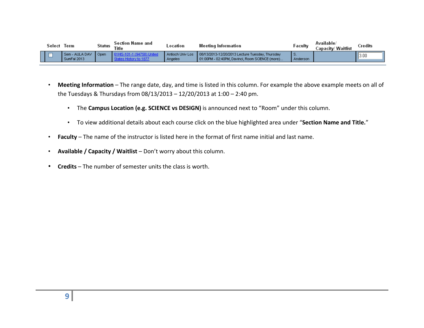| Select | lerm                          | Status | Section Name and<br>Title | _ocation                    | Meeting Information                                                                                    | ⊦acult∖  | .<br>Available/<br>/ Waitlist<br>apacity. | Credits |
|--------|-------------------------------|--------|---------------------------|-----------------------------|--------------------------------------------------------------------------------------------------------|----------|-------------------------------------------|---------|
|        | Sem - AULA DAV<br>SumFal 2013 | Open   |                           | Antioch Univ Los<br>Angeles | 1 08/13/2013-12/20/2013 Lecture Tuesday, Thursday<br>▌01:00PM - 02:40PM, Davinci, Room SCIENCE (more)_ | Anderson |                                           | 3.00    |

- **Meeting Information** The range date, day, and time is listed in this column. For example the above example meets on all of the Tuesdays & Thursdays from 08/13/2013 – 12/20/2013 at 1:00 – 2:40 pm.
	- The **Campus Location (e.g. SCIENCE vs DESIGN)** is announced next to "Room" under this column.
	- To view additional details about each course click on the blue highlighted area under "**Section Name and Title.**"
- **Faculty** The name of the instructor is listed here in the format of first name initial and last name.
- **Available / Capacity / Waitlist** Don't worry about this column.
- **Credits** The number of semester units the class is worth.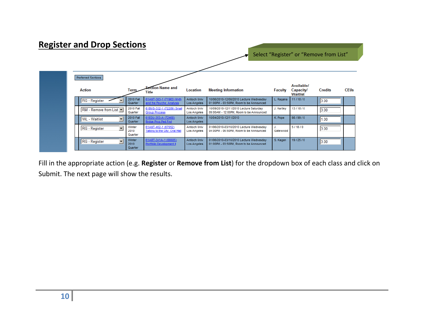| <b>Register and Drop Sections</b>                |                             |                                                       |                                    |                                                                                    |                |                                                   |                |             |
|--------------------------------------------------|-----------------------------|-------------------------------------------------------|------------------------------------|------------------------------------------------------------------------------------|----------------|---------------------------------------------------|----------------|-------------|
|                                                  |                             |                                                       |                                    |                                                                                    |                | Select "Register" or "Remove from List"           |                |             |
|                                                  |                             |                                                       |                                    |                                                                                    |                |                                                   |                |             |
| <b>Preferred Sections</b>                        |                             |                                                       |                                    |                                                                                    |                |                                                   |                |             |
| <b>Action</b>                                    | Term                        | ection Name and<br>Title                              | Location                           | <b>Meeting Information</b>                                                         | <b>Faculty</b> | Available/<br><b>Capacity/</b><br><b>Waitlist</b> | <b>Credits</b> | <b>CEUs</b> |
| RG - Register                                    | 2010 Fall<br>Quarter        | 61ANT-383-1 (71963) Myth<br>and the Psyche: Analysis  | Antioch Univ<br><b>Los Angeles</b> | 10/06/2010-12/08/2010 Lecture Wednesday<br>01:00PM - 03:50PM, Room to be Announced | L. Ragana      | 11/18/0                                           | 3.00           |             |
| RM - Remove from List                            | <b>2010 Fall</b><br>Quarter | 61BUS-332-1 (72289) Small<br><b>Group Process</b>     | <b>Antioch Univ</b><br>Los Angeles | 10/09/2010-12/11/2010 Lecture Saturday<br>09:00AM - 12:00PM, Room to be Announced  | J. Hartley     | 13/18/0                                           | 3.00           |             |
| $\overline{\phantom{a}}$<br><b>WL</b> - Waitlist | 2010 Fall<br>Quarter        | 61EDU-353-A (72468)<br><b>Brdge Prog Ped Fnd</b>      | Antioch Univ<br><b>Los Angeles</b> | 10/04/2010-12/11/2010                                                              | K. Pope        | 98/99/0                                           | 1.00           |             |
| $\overline{\phantom{a}}$<br>RG - Register        | Winter<br>2010<br>Quarter   | 61ANT-402-1 (67052)<br>Talking to the City: Oral Hist | <b>Antioch Univ</b><br>Los Angeles | 01/06/2010-03/10/2010 Lecture Wednesday<br>04:00PM - 06:50PM, Room to be Announced | J.<br>Gatewood | 5/18/0                                            | 3.00           |             |
| $\overline{\phantom{a}}$<br>RG - Register        | Winter<br>2010<br>Quarter   | 61ART-341A-1 (66685)<br>Portfolio Development II      | Antioch Univ<br><b>Los Angeles</b> | 01/06/2010-03/10/2010 Lecture Wednesday<br>01:00PM - 03:50PM, Room to be Announced | S. Kagan       | 19/25/0                                           | 3.00           |             |

Fill in the appropriate action (e.g. **Register** or **Remove from List**) for the dropdown box of each class and click on Submit. The next page will show the results.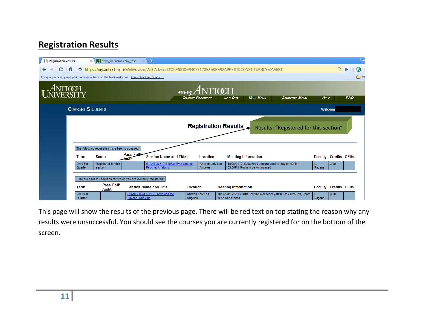### **Registration Results**

| <b>Registration Results</b>                                                            | $\times$                                                              | $A$ http://antiochla.edu/_reso $\times$       |                    | (中)                                                                                              |          |                                             |                            |                                                                                    |                                                                 |             |                             | $\equiv$   |
|----------------------------------------------------------------------------------------|-----------------------------------------------------------------------|-----------------------------------------------|--------------------|--------------------------------------------------------------------------------------------------|----------|---------------------------------------------|----------------------------|------------------------------------------------------------------------------------|-----------------------------------------------------------------|-------------|-----------------------------|------------|
| C<br>Æ                                                                                 |                                                                       |                                               |                    | thttps://my.antioch.edu/WebAdvisor/WebAdvisor?TOKENIDX=9407517856&SS=9&APP=ST&CONSTITUENCY=XWBST |          |                                             |                            |                                                                                    |                                                                 |             | $A \triangleright$          | வ          |
| For quick access, place your bookmarks here on the bookmarks bar. Import bookmarks now |                                                                       |                                               |                    |                                                                                                  |          |                                             |                            |                                                                                    |                                                                 |             |                             | ு ்        |
|                                                                                        |                                                                       |                                               |                    |                                                                                                  |          | $m_A A N T I C H$<br><b>CHANGE PASSWORD</b> | Log Out                    | <b>MAIN MENU</b>                                                                   | <b>STUDENTS MENU</b>                                            | <b>HELP</b> |                             | <b>FAQ</b> |
|                                                                                        | <b>CURRENT STUDENTS</b>                                               |                                               |                    |                                                                                                  |          |                                             |                            |                                                                                    |                                                                 |             | Welcome                     |            |
|                                                                                        | <b>Registration Results</b><br>Results: "Registered for this section" |                                               |                    |                                                                                                  |          |                                             |                            |                                                                                    |                                                                 |             |                             |            |
|                                                                                        |                                                                       | The following request(s) have been processed: |                    |                                                                                                  |          |                                             |                            |                                                                                    |                                                                 |             |                             |            |
|                                                                                        | <b>Term</b>                                                           | <b>Status</b>                                 | Pass/Fail<br>Audit | <b>Section Name and Title</b>                                                                    |          | Location                                    |                            | <b>Meeting Information</b>                                                         |                                                                 |             | <b>Faculty Credits CEUs</b> |            |
|                                                                                        | 2010 Fall<br>Quarter                                                  | Registered for this<br>section                |                    | 61ANT-383-1 (71963) Myth and the<br>Psyche: Analysis                                             |          | Antioch Univ Los<br>Angeles                 |                            | 10/06/2010-12/08/2010 Lecture Wednesday 01:00PM -<br>03:50PM, Room to be Announced |                                                                 | Ragana      | 3.00                        |            |
|                                                                                        | Here are all of the sections for which you are currently registered:  |                                               |                    |                                                                                                  |          |                                             |                            |                                                                                    |                                                                 |             |                             |            |
|                                                                                        | <b>Term</b>                                                           | Pass/Fail/<br>Audit                           |                    | <b>Section Name and Title</b>                                                                    | Location |                                             | <b>Meeting Information</b> |                                                                                    |                                                                 |             | <b>Faculty Credits CEUs</b> |            |
|                                                                                        | 2010 Fall<br>Quarter                                                  |                                               | Psyche: Analysis   | 61ANT-383-1 (71963) Myth and the                                                                 | Angeles  | Antioch Univ Los                            | to be Announced            |                                                                                    | 10/06/2010-12/08/2010 Lecture Wednesday 01:00PM - 03:50PM, Room | Ragana      | 3.00                        |            |

This page will show the results of the previous page. There will be red text on top stating the reason why any results were unsuccessful. You should see the courses you are currently registered for on the bottom of the screen.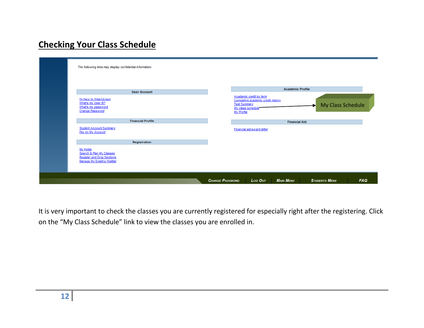## **Checking Your Class Schedule**

| The following links may display confidential information.                                                                       |                                                                                                                                                                              |  |
|---------------------------------------------------------------------------------------------------------------------------------|------------------------------------------------------------------------------------------------------------------------------------------------------------------------------|--|
| <b>User Account</b><br>I'm New to WebAdvisor<br>What's my User ID?<br>What's my password<br><b>Change Password</b>              | <b>Academic Profile</b><br>Academic credit by term<br>Cumulative academic credit history<br><b>Test Summary</b><br>My Class Schedule<br>ы<br>My class schedule<br>My Profile |  |
| <b>Financial Profile</b><br><b>Student Account Summary</b><br>Pay on My Account                                                 | <b>Financial Aid</b><br>Financial aid award letter                                                                                                                           |  |
| Registration<br>My Holds<br>Search & Plan My Classes<br><b>Register and Drop Sections</b><br><b>Manage My Existing Waitlist</b> |                                                                                                                                                                              |  |
|                                                                                                                                 | <b>MAIN MENU</b><br><b>FAQ</b><br><b>CHANGE PASSWORD</b><br>Log Out<br><b>STUDENTS MENU</b>                                                                                  |  |

It is very important to check the classes you are currently registered for especially right after the registering. Click on the "My Class Schedule" link to view the classes you are enrolled in.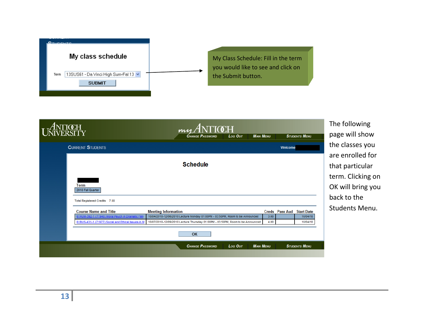

|                                                                                  | $m_A ANTICCH$                                                                                                                                                      | The follo       |
|----------------------------------------------------------------------------------|--------------------------------------------------------------------------------------------------------------------------------------------------------------------|-----------------|
|                                                                                  | <b>CHANGE PASSWORD</b><br><b>MAIN MENU</b><br><b>STUDENTS MENU</b><br>Log Out                                                                                      | page will       |
| <b>CURRENT STUDENTS</b>                                                          | Welcome                                                                                                                                                            | the class       |
|                                                                                  |                                                                                                                                                                    | are enrol       |
|                                                                                  | <b>Schedule</b>                                                                                                                                                    | that part       |
|                                                                                  |                                                                                                                                                                    | term. Clio      |
| Term<br>2010 Fall Quarter                                                        |                                                                                                                                                                    | OK will b       |
| Total Registered Credits 7.00                                                    |                                                                                                                                                                    | back to t       |
| <b>Course Name and Title</b><br>61HUM-392-1 (71940) Moral Psych in Dramatic Film | <b>Meeting Information</b><br><b>Creds</b> Pass Aud Start Date<br>10/04/2010-12/06/2010 Lecture Monday 01:00PM - 03:50PM, Room to be Announced<br>3.00<br>10/04/10 | <b>Students</b> |
| 61BUS-431-1 (71977) Social and Ethical Issues in M                               | 10/07/2010-12/09/2010 Lecture Thursday 01:00PM - 03:50PM, Room to be Announced<br>4.00<br>10/04/10                                                                 |                 |
|                                                                                  | <b>OK</b>                                                                                                                                                          |                 |
|                                                                                  | <b>CHANGE PASSWORD</b><br><b>MAIN MENU</b><br><b>STUDENTS MENU</b><br>Log Out                                                                                      |                 |
|                                                                                  |                                                                                                                                                                    |                 |

wing show es you lled for ticular cking on ring you  $the$ Menu.